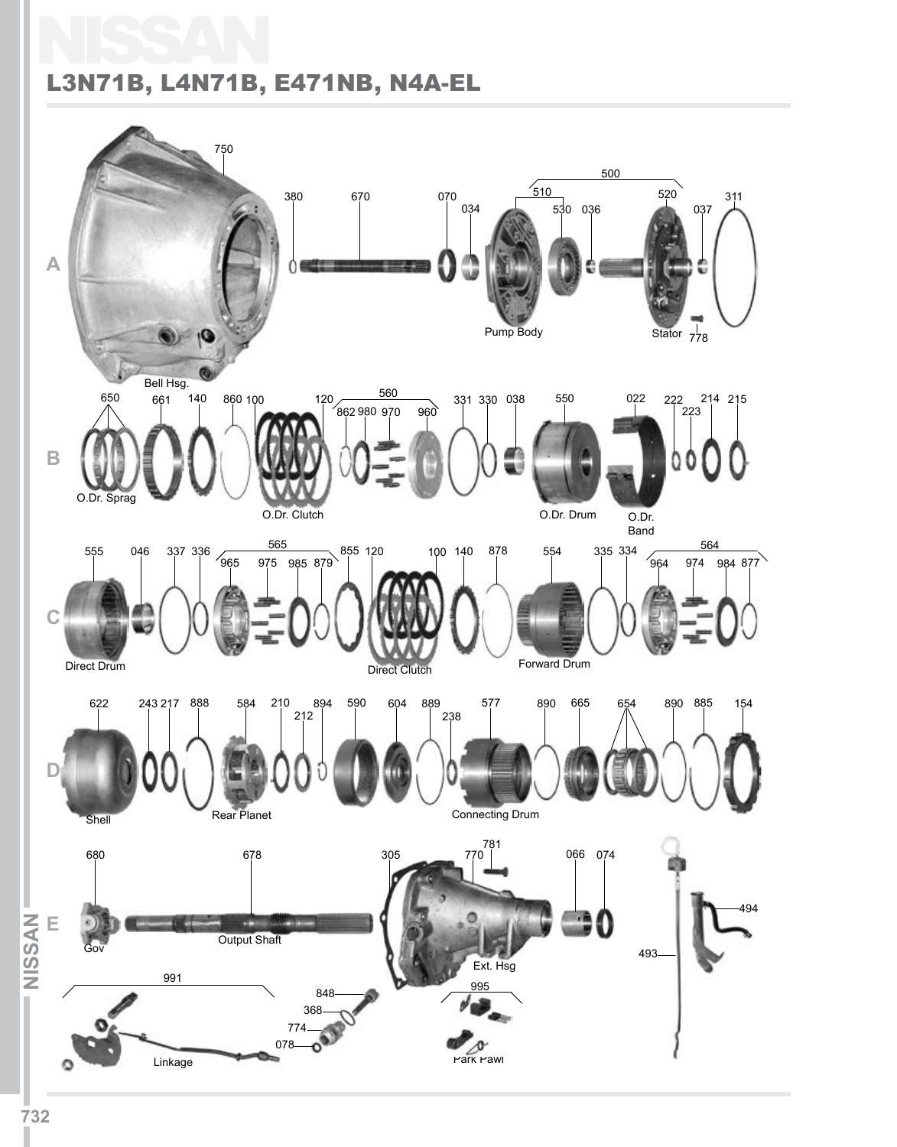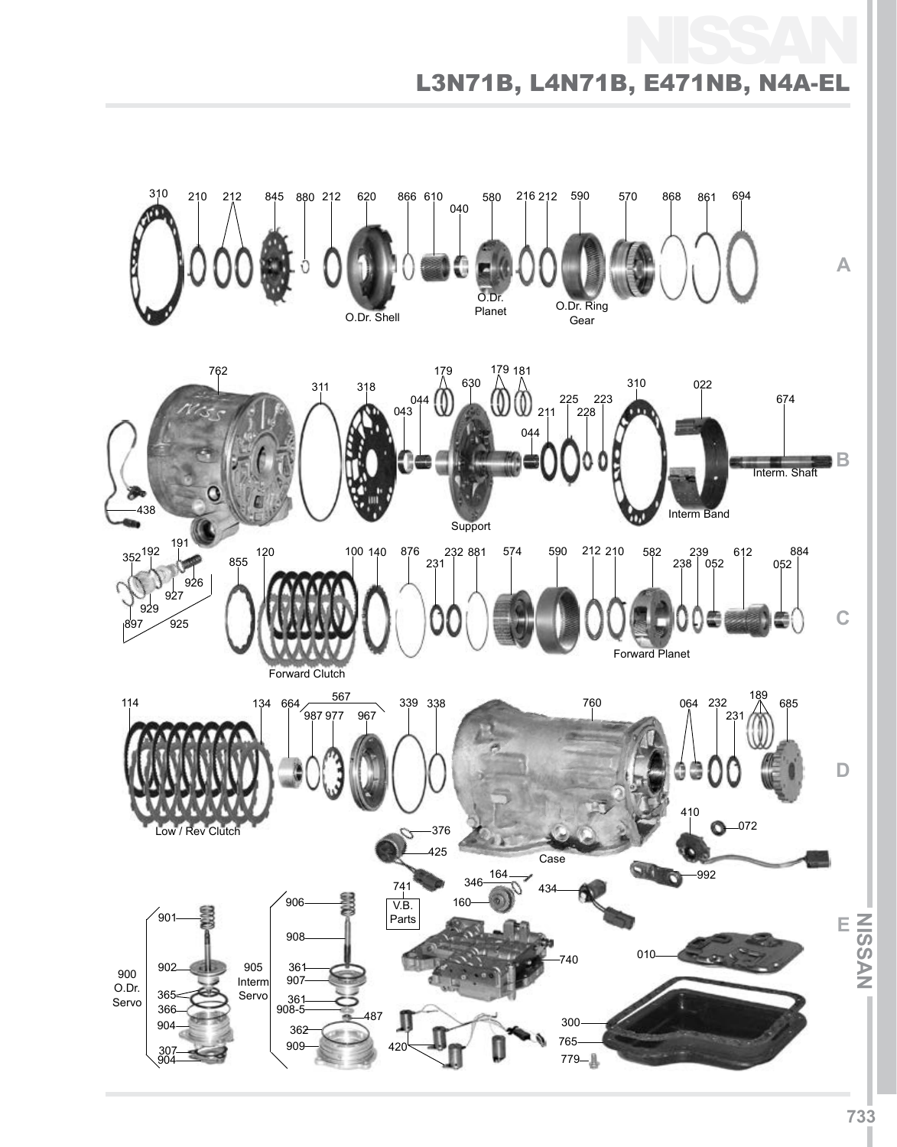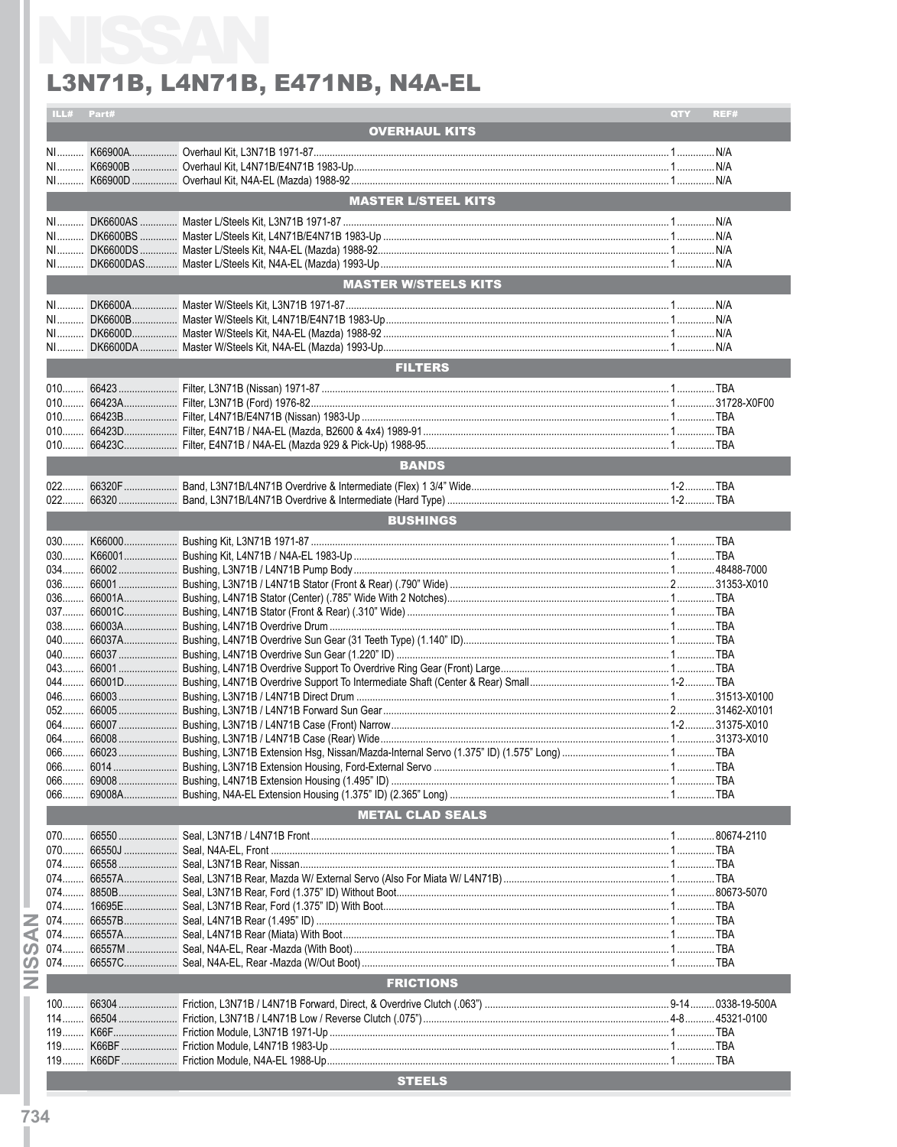|            | ILL# Part# |                             | QTY | REF# |
|------------|------------|-----------------------------|-----|------|
|            |            | <b>OVERHAUL KITS</b>        |     |      |
|            |            |                             |     |      |
|            |            |                             |     |      |
|            |            |                             |     |      |
|            |            |                             |     |      |
|            |            | <b>MASTER L/STEEL KITS</b>  |     |      |
|            |            |                             |     |      |
|            |            |                             |     |      |
|            |            |                             |     |      |
|            |            |                             |     |      |
|            |            |                             |     |      |
|            |            |                             |     |      |
|            |            | <b>MASTER W/STEELS KITS</b> |     |      |
|            |            |                             |     |      |
|            |            |                             |     |      |
|            |            |                             |     |      |
|            |            |                             |     |      |
|            |            |                             |     |      |
|            |            | <b>FILTERS</b>              |     |      |
|            |            |                             |     |      |
|            |            |                             |     |      |
|            |            |                             |     |      |
|            |            |                             |     |      |
|            |            |                             |     |      |
|            |            |                             |     |      |
|            |            | <b>BANDS</b>                |     |      |
|            |            |                             |     |      |
|            |            |                             |     |      |
|            |            |                             |     |      |
|            |            | <b>BUSHINGS</b>             |     |      |
|            |            |                             |     |      |
|            |            |                             |     |      |
|            |            |                             |     |      |
|            |            |                             |     |      |
|            |            |                             |     |      |
|            |            |                             |     |      |
|            |            |                             |     |      |
|            |            |                             |     |      |
|            |            |                             |     |      |
|            |            |                             |     |      |
|            |            |                             |     |      |
|            |            |                             |     |      |
|            |            |                             |     |      |
|            |            |                             |     |      |
|            |            |                             |     |      |
|            |            |                             |     |      |
|            |            |                             |     |      |
|            |            |                             |     |      |
|            |            |                             |     |      |
|            |            |                             |     |      |
|            |            |                             |     |      |
|            |            | <b>METAL CLAD SEALS</b>     |     |      |
|            |            |                             |     |      |
|            |            |                             |     |      |
|            | 070 66550J |                             |     |      |
|            |            |                             |     |      |
|            |            |                             |     |      |
| 074        |            |                             |     |      |
| $074$      |            |                             |     |      |
| 074        |            |                             |     |      |
| ⋖          |            |                             |     |      |
| ഗ          |            |                             |     |      |
| $074$<br>ၯ |            |                             |     |      |
|            |            |                             |     |      |
| z          |            | <b>FRICTIONS</b>            |     |      |
| $100$      |            |                             |     |      |
|            |            |                             |     |      |
|            |            |                             |     |      |
| $119$      |            |                             |     |      |
| $119$      |            |                             |     |      |
|            |            |                             |     |      |
|            |            | <b>STEELS</b>               |     |      |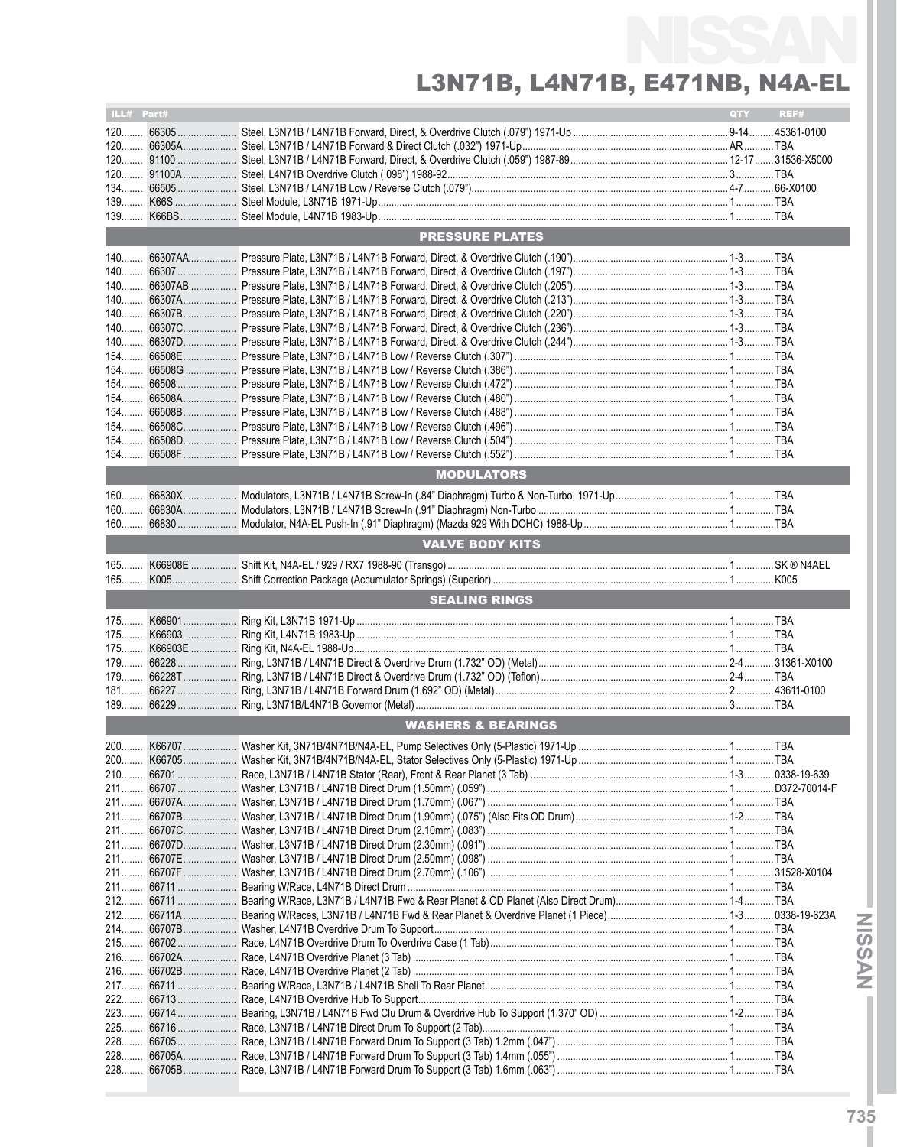| ILL# Part#     |         |                               | QTY | REF# |
|----------------|---------|-------------------------------|-----|------|
|                |         |                               |     |      |
|                |         |                               |     |      |
|                |         |                               |     |      |
|                |         |                               |     |      |
|                |         |                               |     |      |
|                |         |                               |     |      |
| 139            |         |                               |     |      |
|                |         | <b>PRESSURE PLATES</b>        |     |      |
|                |         |                               |     |      |
|                |         |                               |     |      |
|                |         |                               |     |      |
|                |         |                               |     |      |
|                |         |                               |     |      |
|                |         |                               |     |      |
|                |         |                               |     |      |
|                |         |                               |     |      |
|                |         |                               |     |      |
|                |         |                               |     |      |
|                |         |                               |     |      |
|                |         |                               |     |      |
|                |         |                               |     |      |
|                |         |                               |     |      |
| $154$          |         |                               |     |      |
|                |         | <b>MODULATORS</b>             |     |      |
|                |         |                               |     |      |
| $160$          |         |                               |     |      |
| $160$<br>$160$ |         |                               |     |      |
|                |         |                               |     |      |
|                |         | <b>VALVE BODY KITS</b>        |     |      |
|                |         |                               |     |      |
| $165$          |         |                               |     |      |
|                |         | <b>SEALING RINGS</b>          |     |      |
|                |         |                               |     |      |
| $175$          |         |                               |     |      |
|                |         |                               |     |      |
|                |         |                               |     |      |
|                |         |                               |     |      |
|                |         |                               |     |      |
| $189$          |         |                               |     |      |
|                |         |                               |     |      |
|                |         | <b>WASHERS &amp; BEARINGS</b> |     |      |
|                |         |                               |     |      |
| 200.           | K66705. |                               |     | TBA  |
|                |         |                               |     |      |
|                |         |                               |     |      |
|                |         |                               |     |      |
|                |         |                               |     |      |
|                |         |                               |     |      |
|                |         |                               |     |      |
|                |         |                               |     |      |
|                |         |                               |     |      |
|                |         |                               |     |      |
|                |         |                               |     |      |
|                |         |                               |     |      |
|                |         |                               |     |      |
|                |         |                               |     |      |
|                |         |                               |     |      |
| $217$          |         |                               |     |      |
| 222            |         |                               |     |      |
|                |         |                               |     |      |
|                |         |                               |     |      |
|                |         |                               |     |      |
| $228$          |         |                               |     |      |
|                |         |                               |     |      |

**INISSANI**

**NYSSIN**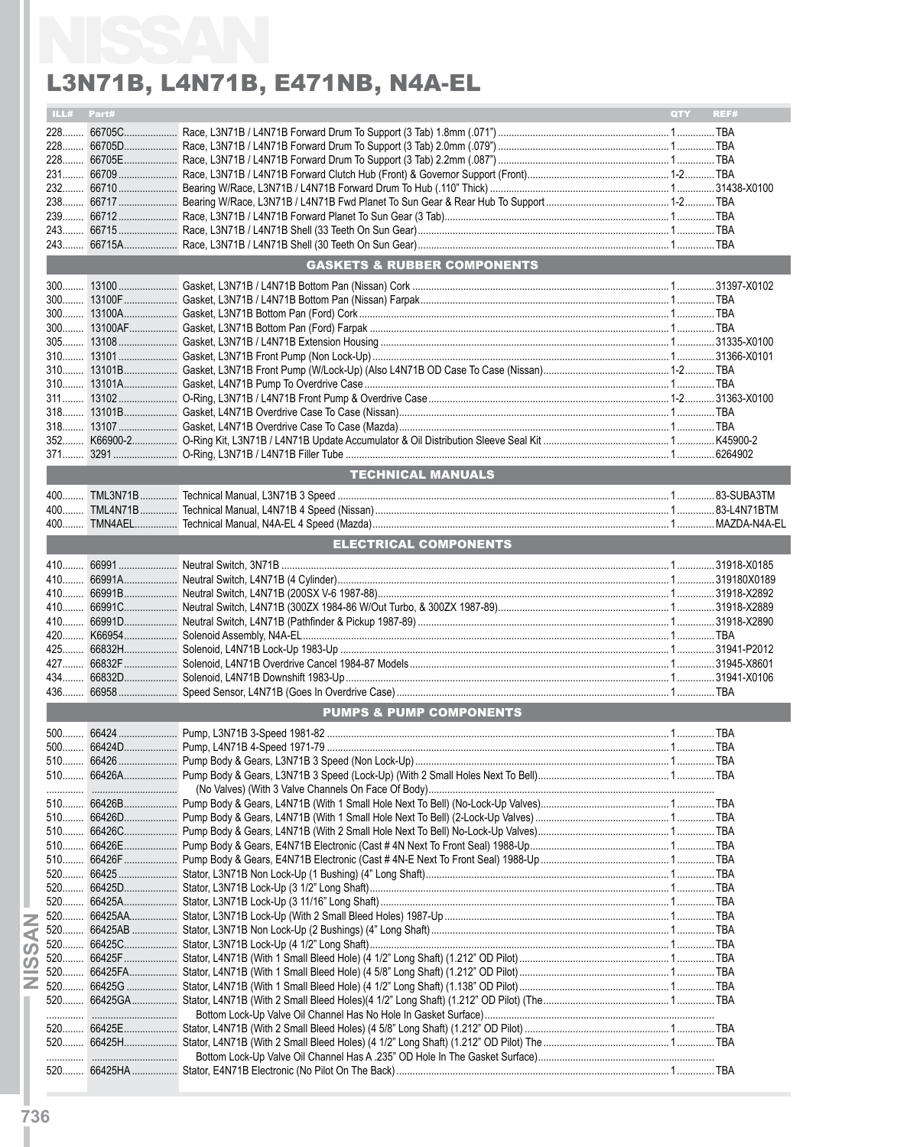|                       | ILL# Part# |                                        | QTY REF# |
|-----------------------|------------|----------------------------------------|----------|
|                       |            |                                        |          |
|                       |            |                                        |          |
|                       |            |                                        |          |
|                       |            |                                        |          |
|                       |            |                                        |          |
|                       |            |                                        |          |
|                       |            |                                        |          |
|                       |            |                                        |          |
|                       |            |                                        |          |
|                       |            | <b>GASKETS &amp; RUBBER COMPONENTS</b> |          |
|                       |            |                                        |          |
|                       |            |                                        |          |
|                       |            |                                        |          |
|                       |            |                                        |          |
|                       |            |                                        |          |
|                       |            |                                        |          |
|                       |            |                                        |          |
|                       |            |                                        |          |
|                       |            |                                        |          |
|                       |            |                                        |          |
|                       |            |                                        |          |
|                       |            |                                        |          |
|                       |            |                                        |          |
|                       |            | <b>TECHNICAL MANUALS</b>               |          |
|                       |            |                                        |          |
|                       |            |                                        |          |
|                       |            |                                        |          |
|                       |            | <b>ELECTRICAL COMPONENTS</b>           |          |
|                       |            |                                        |          |
|                       |            |                                        |          |
|                       |            |                                        |          |
|                       |            |                                        |          |
|                       |            |                                        |          |
|                       |            |                                        |          |
|                       |            |                                        |          |
|                       |            |                                        |          |
|                       |            |                                        |          |
|                       |            |                                        |          |
|                       |            | <b>PUMPS &amp; PUMP COMPONENTS</b>     |          |
|                       |            |                                        |          |
|                       |            |                                        |          |
| 510                   | 66426 2020 |                                        |          |
|                       |            |                                        |          |
|                       |            |                                        |          |
|                       |            |                                        |          |
|                       |            |                                        |          |
|                       |            |                                        |          |
|                       |            |                                        |          |
|                       |            |                                        |          |
|                       |            |                                        |          |
| $520$                 |            |                                        |          |
| 520                   |            |                                        |          |
| Ζ                     |            |                                        |          |
| ◀                     |            |                                        |          |
| $\boldsymbol{\omega}$ |            |                                        |          |
| $\boldsymbol{\omega}$ |            |                                        |          |
| Ż<br>$520$            |            |                                        |          |
|                       |            |                                        |          |
|                       |            |                                        |          |
|                       |            |                                        |          |
|                       |            |                                        |          |
|                       |            |                                        |          |
|                       |            |                                        |          |
|                       |            |                                        |          |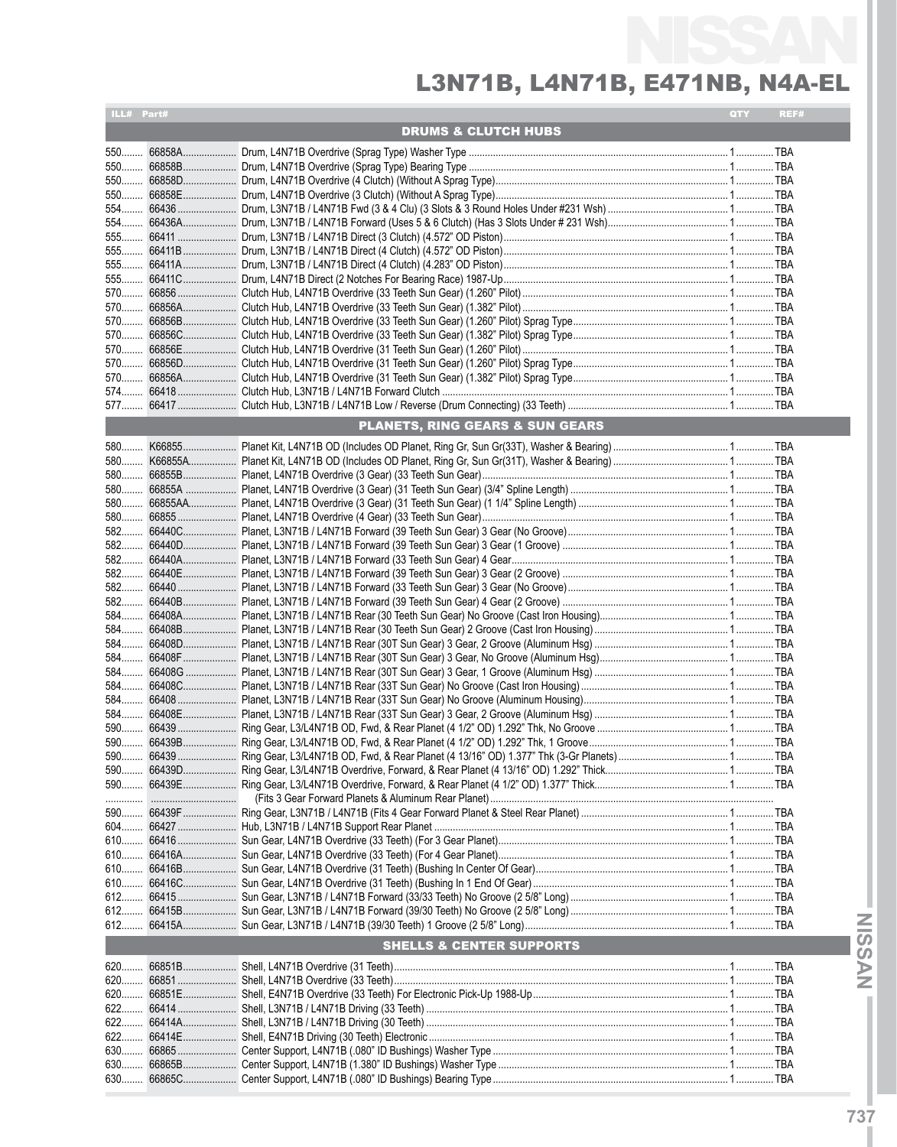| ILL# Part# |                                            | QTY | REF# |
|------------|--------------------------------------------|-----|------|
|            | <b>DRUMS &amp; CLUTCH HUBS</b>             |     |      |
|            |                                            |     |      |
|            |                                            |     |      |
|            |                                            |     |      |
|            |                                            |     |      |
|            |                                            |     |      |
|            |                                            |     |      |
|            |                                            |     |      |
|            |                                            |     |      |
|            |                                            |     |      |
|            |                                            |     |      |
|            |                                            |     |      |
|            |                                            |     |      |
| 570        |                                            |     |      |
|            |                                            |     |      |
|            |                                            |     |      |
|            |                                            |     |      |
|            |                                            |     |      |
|            |                                            |     |      |
|            |                                            |     |      |
|            | <b>PLANETS, RING GEARS &amp; SUN GEARS</b> |     |      |
|            |                                            |     |      |
| $580$      |                                            |     |      |
|            |                                            |     |      |
|            |                                            |     |      |
|            |                                            |     |      |
|            |                                            |     |      |
|            |                                            |     |      |
|            |                                            |     |      |
|            |                                            |     |      |
|            |                                            |     |      |
| 582        |                                            |     |      |
|            |                                            |     |      |
|            |                                            |     |      |
|            |                                            |     |      |
|            |                                            |     |      |
|            |                                            |     |      |
|            |                                            |     |      |
|            |                                            |     |      |
|            |                                            |     |      |
|            |                                            |     |      |
|            |                                            |     |      |
|            |                                            |     |      |
|            |                                            |     |      |
|            |                                            |     |      |
|            |                                            |     |      |
|            |                                            |     |      |
|            |                                            |     |      |
|            |                                            |     |      |
|            |                                            |     |      |
|            |                                            |     |      |
| 612        |                                            |     |      |
|            |                                            |     |      |
|            |                                            |     |      |
|            | <b>SHELLS &amp; CENTER SUPPORTS</b>        |     |      |
|            |                                            |     |      |
| 620<br>620 |                                            |     |      |
|            |                                            |     |      |
|            |                                            |     |      |
|            |                                            |     |      |
| 622        |                                            |     |      |
| 630        |                                            |     |      |
| 630        |                                            |     |      |
| 630        |                                            |     |      |
|            |                                            |     |      |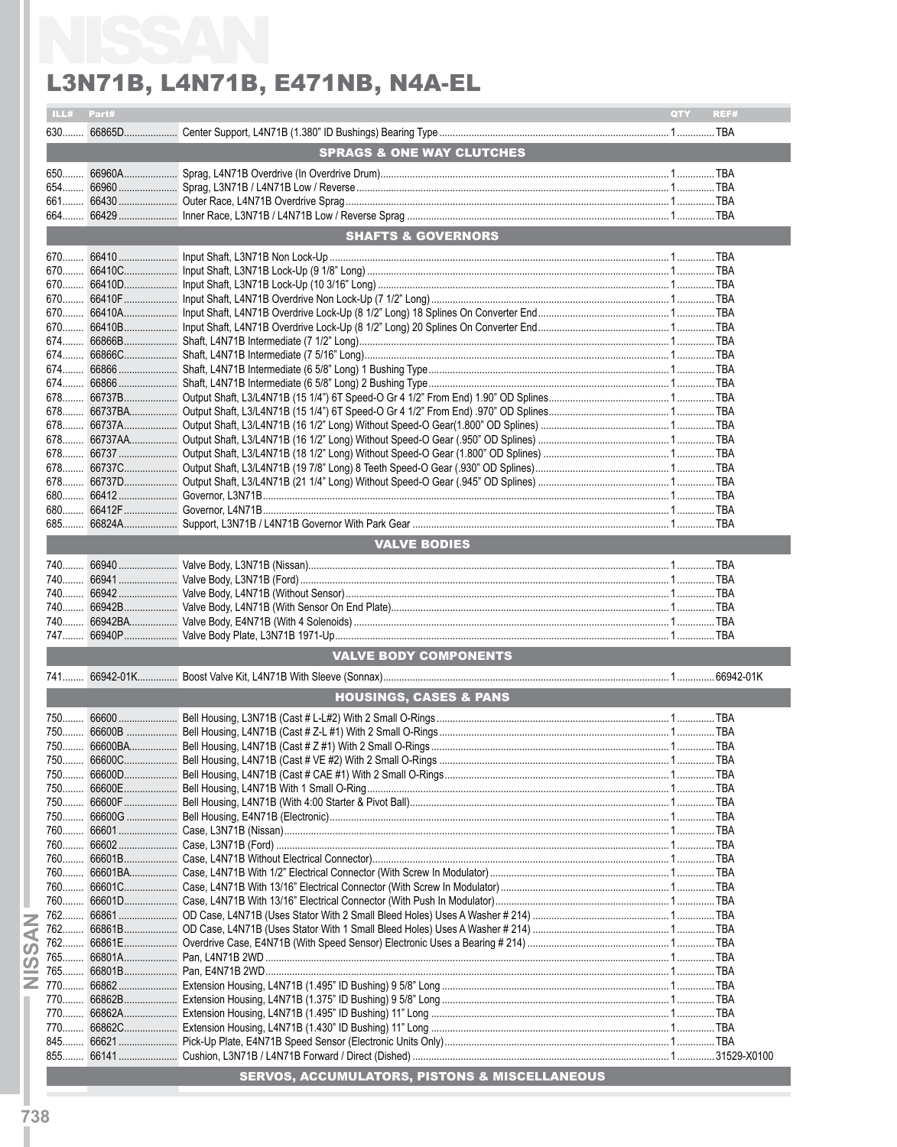| ILL# Part# |        |                                      | QTY REF# |  |
|------------|--------|--------------------------------------|----------|--|
|            |        |                                      |          |  |
|            |        | <b>SPRAGS &amp; ONE WAY CLUTCHES</b> |          |  |
|            |        |                                      |          |  |
|            |        |                                      |          |  |
|            |        |                                      |          |  |
|            |        |                                      |          |  |
|            |        |                                      |          |  |
|            |        | <b>SHAFTS &amp; GOVERNORS</b>        |          |  |
|            |        |                                      |          |  |
|            |        |                                      |          |  |
|            |        |                                      |          |  |
|            |        |                                      |          |  |
|            |        |                                      |          |  |
|            |        |                                      |          |  |
|            |        |                                      |          |  |
|            |        |                                      |          |  |
|            |        |                                      |          |  |
|            |        |                                      |          |  |
|            |        |                                      |          |  |
|            |        |                                      |          |  |
|            |        |                                      |          |  |
|            |        |                                      |          |  |
|            |        |                                      |          |  |
|            |        |                                      |          |  |
|            |        |                                      |          |  |
|            |        |                                      |          |  |
|            |        |                                      |          |  |
|            |        | <b>VALVE BODIES</b>                  |          |  |
|            |        |                                      |          |  |
|            |        |                                      |          |  |
|            |        |                                      |          |  |
|            |        |                                      |          |  |
|            |        |                                      |          |  |
|            |        |                                      |          |  |
|            |        | <b>VALVE BODY COMPONENTS</b>         |          |  |
|            |        |                                      |          |  |
|            |        |                                      |          |  |
|            |        | <b>HOUSINGS, CASES &amp; PANS</b>    |          |  |
|            |        |                                      |          |  |
|            |        |                                      |          |  |
|            |        |                                      |          |  |
|            |        |                                      |          |  |
| 750        |        |                                      |          |  |
|            |        |                                      |          |  |
| 750        |        |                                      |          |  |
| 750        |        |                                      |          |  |
|            |        |                                      |          |  |
|            |        |                                      |          |  |
|            |        |                                      |          |  |
| 760        |        |                                      |          |  |
| 760        |        |                                      |          |  |
| $760$      | 66601D |                                      |          |  |
|            |        |                                      |          |  |
|            |        |                                      |          |  |
|            |        |                                      |          |  |
|            |        |                                      |          |  |
| 765        |        |                                      |          |  |
|            |        |                                      |          |  |
|            |        |                                      |          |  |
|            |        |                                      |          |  |
|            |        |                                      |          |  |
|            |        |                                      |          |  |